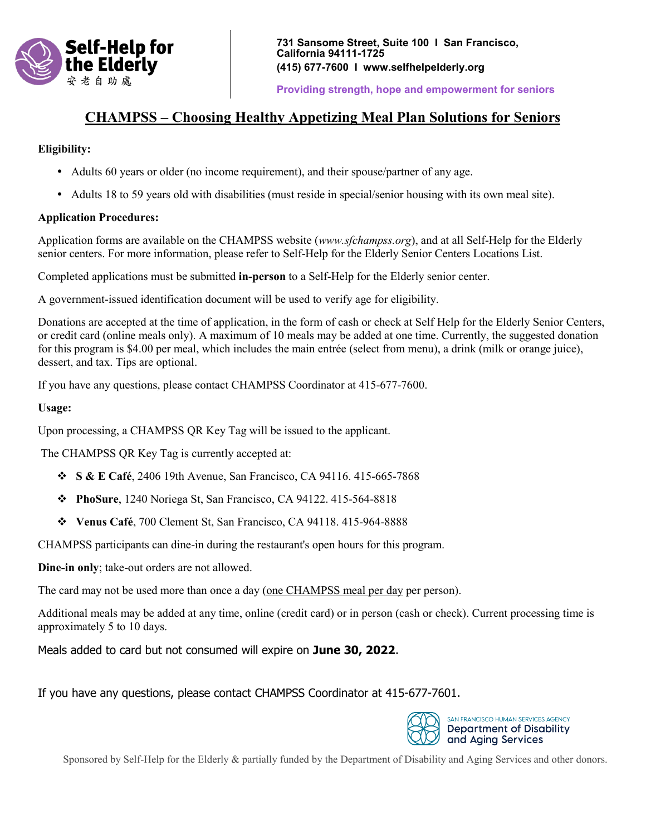

**Providing strength, hope and empowerment for seniors** 

# **CHAMPSS – Choosing Healthy Appetizing Meal Plan Solutions for Seniors**

### **Eligibility:**

- Adults 60 years or older (no income requirement), and their spouse/partner of any age.
- Adults 18 to 59 years old with disabilities (must reside in special/senior housing with its own meal site).

### **Application Procedures:**

Application forms are available on the CHAMPSS website (*www.sfchampss.org*), and at all Self-Help for the Elderly senior centers. For more information, please refer to Self-Help for the Elderly Senior Centers Locations List.

Completed applications must be submitted **in-person** to a Self-Help for the Elderly senior center.

A government-issued identification document will be used to verify age for eligibility.

Donations are accepted at the time of application, in the form of cash or check at Self Help for the Elderly Senior Centers, or credit card (online meals only). A maximum of 10 meals may be added at one time. Currently, the suggested donation for this program is \$4.00 per meal, which includes the main entrée (select from menu), a drink (milk or orange juice), dessert, and tax. Tips are optional.

If you have any questions, please contact CHAMPSS Coordinator at 415-677-7600.

### **Usage:**

Upon processing, a CHAMPSS QR Key Tag will be issued to the applicant.

The CHAMPSS QR Key Tag is currently accepted at:

- **S & E Café**, 2406 19th Avenue, San Francisco, CA 94116. 415-665-7868
- **PhoSure**, 1240 Noriega St, San Francisco, CA 94122. 415-564-8818
- **Venus Café**, 700 Clement St, San Francisco, CA 94118. 415-964-8888

CHAMPSS participants can dine-in during the restaurant's open hours for this program.

**Dine-in only**; take-out orders are not allowed.

The card may not be used more than once a day (one CHAMPSS meal per day per person).

Additional meals may be added at any time, online (credit card) or in person (cash or check). Current processing time is approximately 5 to 10 days.

Meals added to card but not consumed will expire on **June 30, 2022**.

If you have any questions, please contact CHAMPSS Coordinator at 415-677-7601.



Sponsored by Self-Help for the Elderly & partially funded by the Department of Disability and Aging Services and other donors.